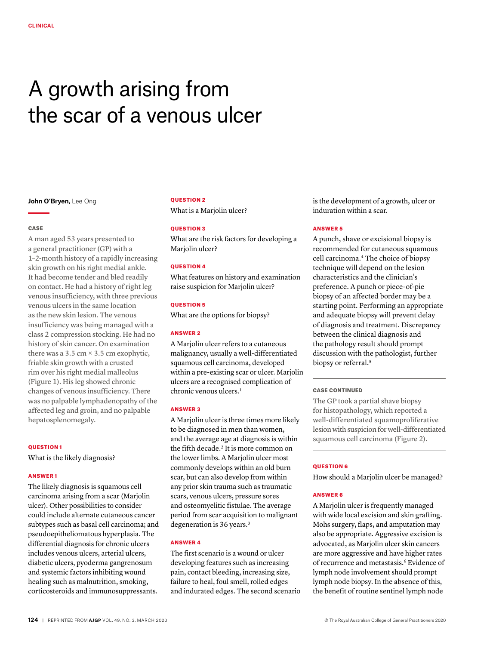# A growth arising from the scar of a venous ulcer

**John O'Bryen,** Lee Ong

#### **CASE**

A man aged 53 years presented to a general practitioner (GP) with a 1–2-month history of a rapidly increasing skin growth on his right medial ankle. It had become tender and bled readily on contact. He had a history of right leg venous insufficiency, with three previous venous ulcers in the same location as the new skin lesion. The venous insufficiency was being managed with a class 2 compression stocking. He had no history of skin cancer. On examination there was a 3.5 cm  $\times$  3.5 cm exophytic, friable skin growth with a crusted rim over his right medial malleolus (Figure 1). His leg showed chronic changes of venous insufficiency. There was no palpable lymphadenopathy of the affected leg and groin, and no palpable hepatosplenomegaly.

#### QUESTION 1

What is the likely diagnosis?

### ANSWER 1

The likely diagnosis is squamous cell carcinoma arising from a scar (Marjolin ulcer). Other possibilities to consider could include alternate cutaneous cancer subtypes such as basal cell carcinoma; and pseudoepitheliomatous hyperplasia. The differential diagnosis for chronic ulcers includes venous ulcers, arterial ulcers, diabetic ulcers, pyoderma gangrenosum and systemic factors inhibiting wound healing such as malnutrition, smoking, corticosteroids and immunosuppressants.

## QUESTION 2

What is a Marjolin ulcer?

# QUESTION 3

What are the risk factors for developing a Marjolin ulcer?

# QUESTION 4

What features on history and examination raise suspicion for Marjolin ulcer?

# **OUESTION 5**

What are the options for biopsy?

# ANSWER 2

A Marjolin ulcer refers to a cutaneous malignancy, usually a well-differentiated squamous cell carcinoma, developed within a pre-existing scar or ulcer. Marjolin ulcers are a recognised complication of chronic venous ulcers.<sup>1</sup>

# ANSWER 3

A Marjolin ulcer is three times more likely to be diagnosed in men than women, and the average age at diagnosis is within the fifth decade.2 It is more common on the lower limbs. A Marjolin ulcer most commonly develops within an old burn scar, but can also develop from within any prior skin trauma such as traumatic scars, venous ulcers, pressure sores and osteomyelitic fistulae. The average period from scar acquisition to malignant degeneration is 36 years.<sup>3</sup>

# ANSWER 4

The first scenario is a wound or ulcer developing features such as increasing pain, contact bleeding, increasing size, failure to heal, foul smell, rolled edges and indurated edges. The second scenario is the development of a growth, ulcer or induration within a scar.

# ANSWER 5

A punch, shave or excisional biopsy is recommended for cutaneous squamous cell carcinoma.<sup>4</sup> The choice of biopsy technique will depend on the lesion characteristics and the clinician's preference. A punch or piece-of-pie biopsy of an affected border may be a starting point. Performing an appropriate and adequate biopsy will prevent delay of diagnosis and treatment. Discrepancy between the clinical diagnosis and the pathology result should prompt discussion with the pathologist, further biopsy or referral.<sup>5</sup>

# CASE CONTINUED

The GP took a partial shave biopsy for histopathology, which reported a well-differentiated squamoproliferative lesion with suspicion for well-differentiated squamous cell carcinoma (Figure 2).

# QUESTION 6

How should a Marjolin ulcer be managed?

# ANSWER 6

A Marjolin ulcer is frequently managed with wide local excision and skin grafting. Mohs surgery, flaps, and amputation may also be appropriate. Aggressive excision is advocated, as Marjolin ulcer skin cancers are more aggressive and have higher rates of recurrence and metastasis.<sup>6</sup> Evidence of lymph node involvement should prompt lymph node biopsy. In the absence of this, the benefit of routine sentinel lymph node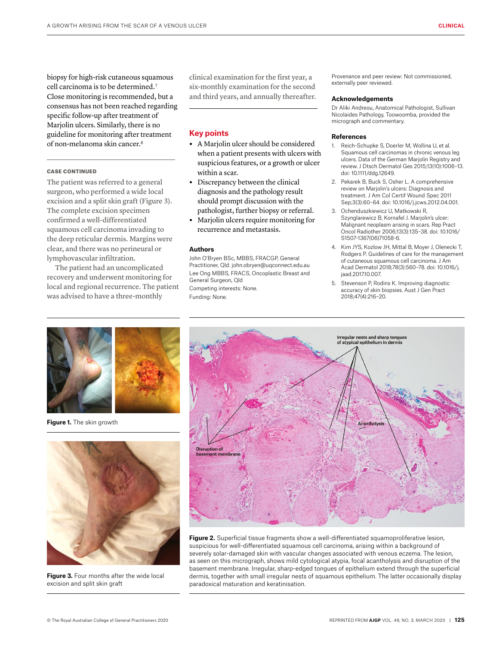biopsy for high-risk cutaneous squamous cell carcinoma is to be determined.7 Close monitoring is recommended, but a consensus has not been reached regarding specific follow-up after treatment of Marjolin ulcers. Similarly, there is no guideline for monitoring after treatment of non-melanoma skin cancer.8

#### CASE CONTINUED

The patient was referred to a general surgeon, who performed a wide local excision and a split skin graft (Figure 3). The complete excision specimen confirmed a well-differentiated squamous cell carcinoma invading to the deep reticular dermis. Margins were clear, and there was no perineural or lymphovascular infiltration.

The patient had an uncomplicated recovery and underwent monitoring for local and regional recurrence. The patient was advised to have a three-monthly

clinical examination for the first year, a six-monthly examination for the second and third years, and annually thereafter.

# **Key points**

- **•** A Marjolin ulcer should be considered when a patient presents with ulcers with suspicious features, or a growth or ulcer within a scar.
- **•** Discrepancy between the clinical diagnosis and the pathology result should prompt discussion with the pathologist, further biopsy or referral.
- **•** Marjolin ulcers require monitoring for recurrence and metastasis.

#### **Authors**

John O'Bryen BSc, MBBS, FRACGP, General Practitioner, Qld. john.obryen@uqconnect.edu.au Lee Ong MBBS, FRACS, Oncoplastic Breast and General Surgeon, Qld Competing interests: None. Funding: None.

Provenance and peer review: Not commissioned, externally peer reviewed.

#### **Acknowledgements**

Dr Aliki Andreou, Anatomical Pathologist, Sullivan Nicolaides Pathology, Toowoomba, provided the micrograph and commentary.

#### **References**

- 1. Reich-Schupke S, Doerler M, Wollina U, et al. Squamous cell carcinomas in chronic venous leg ulcers. Data of the German Marjolin Registry and review. J Dtsch Dermatol Ges 2015;13(10):1006–13. doi: 10.1111/ddg.12649.
- 2. Pekarek B, Buck S, Osher L. A comprehensive review on Marjolin's ulcers: Diagnosis and treatment. J Am Col Certif Wound Spec 2011 Sep;3(3):60–64. doi: 10.1016/j.jcws.2012.04.001.
- 3. Ochenduszkiewicz U, Matkowski R, Szynglarewicz B, Kornafel J. Marjolin's ulcer: Malignant neoplasm arising in scars. Rep Pract Oncol Radiother 2006;13(3):135–38. doi: 10.1016/ S1507-1367(06)71058-6.
- 4. Kim JYS, Kozlow JH, Mittal B, Moyer J, Olenecki T, Rodgers P. Guidelines of care for the management of cutaneous squamous cell carcinoma. J Am Acad Dermatol 2018;78(3):560–78. doi: 10.1016/j. jaad.2017.10.007.
- 5. Stevenson P, Rodins K. Improving diagnostic accuracy of skin biopsies. Aust J Gen Pract 2018;47(4):216–20.



**Figure 1.** The skin growth



**Figure 3.** Four months after the wide local excision and split skin graft



**Figure 2.** Superficial tissue fragments show a well-differentiated squamoproliferative lesion, suspicious for well-differentiated squamous cell carcinoma, arising within a background of severely solar-damaged skin with vascular changes associated with venous eczema. The lesion, as seen on this micrograph, shows mild cytological atypia, focal acantholysis and disruption of the basement membrane. Irregular, sharp-edged tongues of epithelium extend through the superficial dermis, together with small irregular nests of squamous epithelium. The latter occasionally display paradoxical maturation and keratinisation.